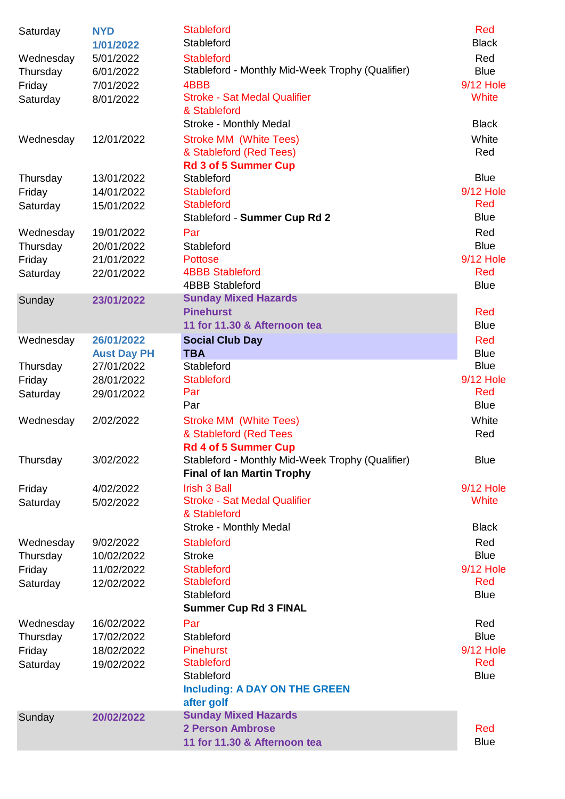| Saturday  | <b>NYD</b><br>1/01/2022 | <b>Stableford</b><br>Stableford                  | Red<br><b>Black</b> |
|-----------|-------------------------|--------------------------------------------------|---------------------|
| Wednesday | 5/01/2022               | <b>Stableford</b>                                | Red                 |
| Thursday  | 6/01/2022               | Stableford - Monthly Mid-Week Trophy (Qualifier) | <b>Blue</b>         |
| Friday    | 7/01/2022               | 4BBB                                             | <b>9/12 Hole</b>    |
| Saturday  | 8/01/2022               | <b>Stroke - Sat Medal Qualifier</b>              | <b>White</b>        |
|           |                         | & Stableford                                     |                     |
|           |                         | Stroke - Monthly Medal                           | <b>Black</b>        |
| Wednesday | 12/01/2022              | <b>Stroke MM (White Tees)</b>                    | White               |
|           |                         | & Stableford (Red Tees)                          | Red                 |
|           |                         | <b>Rd 3 of 5 Summer Cup</b>                      |                     |
| Thursday  | 13/01/2022              | Stableford                                       | <b>Blue</b>         |
| Friday    | 14/01/2022              | <b>Stableford</b>                                | <b>9/12 Hole</b>    |
| Saturday  | 15/01/2022              | <b>Stableford</b>                                | Red                 |
|           |                         | Stableford - Summer Cup Rd 2                     | <b>Blue</b>         |
| Wednesday | 19/01/2022              | Par                                              | Red                 |
| Thursday  | 20/01/2022              | Stableford                                       | <b>Blue</b>         |
| Friday    | 21/01/2022              | <b>Pottose</b>                                   | <b>9/12 Hole</b>    |
| Saturday  | 22/01/2022              | <b>4BBB Stableford</b>                           | Red                 |
|           |                         | <b>4BBB Stableford</b>                           | <b>Blue</b>         |
| Sunday    | 23/01/2022              | <b>Sunday Mixed Hazards</b>                      |                     |
|           |                         | <b>Pinehurst</b>                                 | Red                 |
|           |                         | 11 for 11.30 & Afternoon tea                     | <b>Blue</b>         |
| Wednesday | 26/01/2022              | <b>Social Club Day</b>                           | Red                 |
|           | <b>Aust Day PH</b>      | <b>TBA</b>                                       | <b>Blue</b>         |
| Thursday  | 27/01/2022              | Stableford                                       | <b>Blue</b>         |
| Friday    | 28/01/2022              | <b>Stableford</b>                                | <b>9/12 Hole</b>    |
| Saturday  | 29/01/2022              | Par                                              | Red                 |
|           |                         | Par                                              | <b>Blue</b>         |
| Wednesday | 2/02/2022               | <b>Stroke MM (White Tees)</b>                    | White               |
|           |                         | & Stableford (Red Tees                           | Red                 |
|           |                         | <b>Rd 4 of 5 Summer Cup</b>                      |                     |
| Thursday  | 3/02/2022               | Stableford - Monthly Mid-Week Trophy (Qualifier) | <b>Blue</b>         |
|           |                         | <b>Final of Ian Martin Trophy</b>                |                     |
| Friday    | 4/02/2022               | <b>Irish 3 Ball</b>                              | 9/12 Hole           |
| Saturday  | 5/02/2022               | <b>Stroke - Sat Medal Qualifier</b>              | <b>White</b>        |
|           |                         | & Stableford                                     |                     |
|           |                         | Stroke - Monthly Medal                           | <b>Black</b>        |
| Wednesday | 9/02/2022               | <b>Stableford</b>                                | Red                 |
| Thursday  | 10/02/2022              | <b>Stroke</b>                                    | <b>Blue</b>         |
| Friday    | 11/02/2022              | <b>Stableford</b>                                | <b>9/12 Hole</b>    |
| Saturday  | 12/02/2022              | <b>Stableford</b>                                | Red                 |
|           |                         | Stableford                                       | <b>Blue</b>         |
|           |                         | <b>Summer Cup Rd 3 FINAL</b>                     |                     |
| Wednesday | 16/02/2022              | Par                                              | Red                 |
| Thursday  | 17/02/2022              | Stableford                                       | <b>Blue</b>         |
| Friday    | 18/02/2022              | <b>Pinehurst</b>                                 | <b>9/12 Hole</b>    |
| Saturday  | 19/02/2022              | <b>Stableford</b>                                | Red                 |
|           |                         | Stableford                                       | <b>Blue</b>         |
|           |                         | <b>Including: A DAY ON THE GREEN</b>             |                     |
|           |                         | after golf                                       |                     |
| Sunday    | 20/02/2022              | <b>Sunday Mixed Hazards</b>                      |                     |
|           |                         | <b>2 Person Ambrose</b>                          | Red                 |
|           |                         | 11 for 11.30 & Afternoon tea                     | <b>Blue</b>         |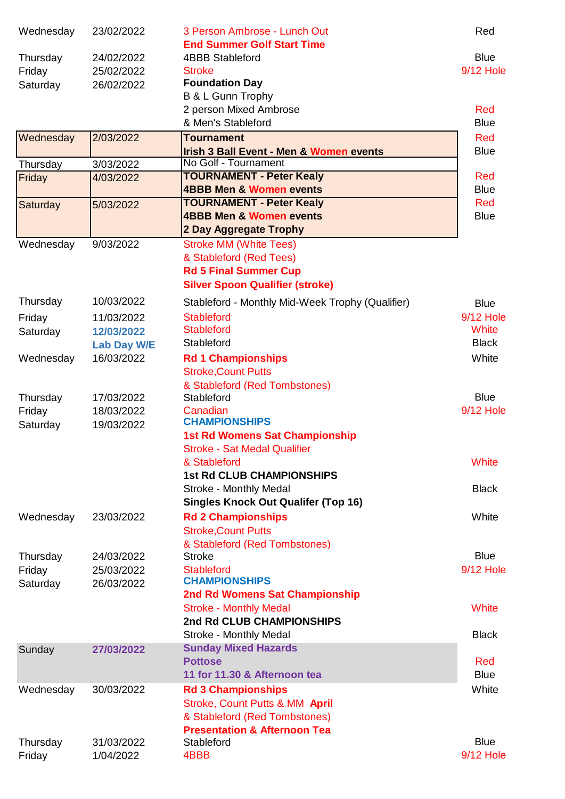| Wednesday | 23/02/2022         | 3 Person Ambrose - Lunch Out<br><b>End Summer Golf Start Time</b> | Red              |
|-----------|--------------------|-------------------------------------------------------------------|------------------|
| Thursday  | 24/02/2022         | <b>4BBB Stableford</b>                                            | <b>Blue</b>      |
| Friday    | 25/02/2022         | <b>Stroke</b>                                                     | <b>9/12 Hole</b> |
| Saturday  | 26/02/2022         | <b>Foundation Day</b>                                             |                  |
|           |                    | B & L Gunn Trophy                                                 |                  |
|           |                    | 2 person Mixed Ambrose                                            | Red              |
|           |                    | & Men's Stableford                                                | <b>Blue</b>      |
| Wednesday | 2/03/2022          | <b>Tournament</b>                                                 | Red              |
|           |                    | <b>Irish 3 Ball Event - Men &amp; Women events</b>                | <b>Blue</b>      |
| Thursday  | 3/03/2022          | No Golf - Tournament                                              |                  |
| Friday    | 4/03/2022          | <b>TOURNAMENT - Peter Kealy</b>                                   | Red              |
|           |                    | <b>4BBB Men &amp; Women events</b>                                | <b>Blue</b>      |
| Saturday  | 5/03/2022          | <b>TOURNAMENT - Peter Kealy</b>                                   | Red              |
|           |                    | <b>4BBB Men &amp; Women events</b>                                | <b>Blue</b>      |
|           |                    | 2 Day Aggregate Trophy                                            |                  |
| Wednesday | 9/03/2022          | <b>Stroke MM (White Tees)</b>                                     |                  |
|           |                    | & Stableford (Red Tees)                                           |                  |
|           |                    | <b>Rd 5 Final Summer Cup</b>                                      |                  |
|           |                    | <b>Silver Spoon Qualifier (stroke)</b>                            |                  |
| Thursday  | 10/03/2022         | Stableford - Monthly Mid-Week Trophy (Qualifier)                  | <b>Blue</b>      |
| Friday    | 11/03/2022         | <b>Stableford</b>                                                 | <b>9/12 Hole</b> |
| Saturday  | 12/03/2022         | <b>Stableford</b>                                                 | <b>White</b>     |
|           | <b>Lab Day W/E</b> | Stableford                                                        | <b>Black</b>     |
| Wednesday | 16/03/2022         | <b>Rd 1 Championships</b>                                         | White            |
|           |                    | <b>Stroke, Count Putts</b>                                        |                  |
|           |                    | & Stableford (Red Tombstones)                                     |                  |
| Thursday  | 17/03/2022         | Stableford                                                        | <b>Blue</b>      |
| Friday    | 18/03/2022         | Canadian                                                          | <b>9/12 Hole</b> |
| Saturday  | 19/03/2022         | <b>CHAMPIONSHIPS</b>                                              |                  |
|           |                    | <b>1st Rd Womens Sat Championship</b>                             |                  |
|           |                    | <b>Stroke - Sat Medal Qualifier</b>                               |                  |
|           |                    | & Stableford                                                      | White            |
|           |                    | <b>1st Rd CLUB CHAMPIONSHIPS</b>                                  |                  |
|           |                    | Stroke - Monthly Medal                                            | <b>Black</b>     |
|           |                    | <b>Singles Knock Out Qualifer (Top 16)</b>                        |                  |
| Wednesday | 23/03/2022         | <b>Rd 2 Championships</b>                                         | White            |
|           |                    | <b>Stroke, Count Putts</b>                                        |                  |
|           |                    | & Stableford (Red Tombstones)                                     |                  |
| Thursday  | 24/03/2022         | <b>Stroke</b>                                                     | <b>Blue</b>      |
| Friday    | 25/03/2022         | <b>Stableford</b>                                                 | <b>9/12 Hole</b> |
| Saturday  | 26/03/2022         | <b>CHAMPIONSHIPS</b>                                              |                  |
|           |                    | 2nd Rd Womens Sat Championship                                    |                  |
|           |                    | <b>Stroke - Monthly Medal</b>                                     | White            |
|           |                    | 2nd Rd CLUB CHAMPIONSHIPS                                         |                  |
|           |                    | Stroke - Monthly Medal                                            | <b>Black</b>     |
| Sunday    | 27/03/2022         | <b>Sunday Mixed Hazards</b>                                       |                  |
|           |                    | <b>Pottose</b>                                                    | Red              |
|           |                    | 11 for 11.30 & Afternoon tea                                      | <b>Blue</b>      |
| Wednesday | 30/03/2022         | <b>Rd 3 Championships</b>                                         | White            |
|           |                    | Stroke, Count Putts & MM April                                    |                  |
|           |                    | & Stableford (Red Tombstones)                                     |                  |
|           |                    | <b>Presentation &amp; Afternoon Tea</b>                           |                  |
| Thursday  | 31/03/2022         | Stableford                                                        | <b>Blue</b>      |
| Friday    | 1/04/2022          | 4BBB                                                              | 9/12 Hole        |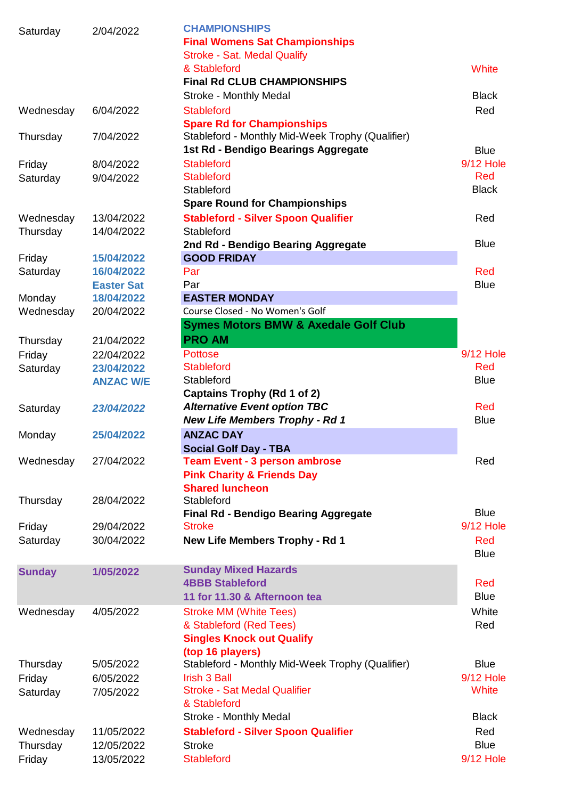| Saturday      | 2/04/2022         | <b>CHAMPIONSHIPS</b><br><b>Final Womens Sat Championships</b><br><b>Stroke - Sat. Medal Qualify</b> |                  |
|---------------|-------------------|-----------------------------------------------------------------------------------------------------|------------------|
|               |                   | & Stableford                                                                                        | White            |
|               |                   | <b>Final Rd CLUB CHAMPIONSHIPS</b>                                                                  |                  |
|               |                   | Stroke - Monthly Medal                                                                              | <b>Black</b>     |
| Wednesday     | 6/04/2022         | <b>Stableford</b>                                                                                   | Red              |
|               |                   | <b>Spare Rd for Championships</b>                                                                   |                  |
| Thursday      | 7/04/2022         | Stableford - Monthly Mid-Week Trophy (Qualifier)<br>1st Rd - Bendigo Bearings Aggregate             | <b>Blue</b>      |
| Friday        | 8/04/2022         | <b>Stableford</b>                                                                                   | <b>9/12 Hole</b> |
| Saturday      | 9/04/2022         | <b>Stableford</b>                                                                                   | Red              |
|               |                   | Stableford                                                                                          | <b>Black</b>     |
|               |                   | <b>Spare Round for Championships</b>                                                                |                  |
| Wednesday     | 13/04/2022        | <b>Stableford - Silver Spoon Qualifier</b>                                                          | Red              |
| Thursday      | 14/04/2022        | Stableford                                                                                          |                  |
|               |                   | 2nd Rd - Bendigo Bearing Aggregate                                                                  | <b>Blue</b>      |
| Friday        | 15/04/2022        | <b>GOOD FRIDAY</b>                                                                                  |                  |
| Saturday      | 16/04/2022        | Par                                                                                                 | Red              |
|               | <b>Easter Sat</b> | Par                                                                                                 | <b>Blue</b>      |
| Monday        | 18/04/2022        | <b>EASTER MONDAY</b>                                                                                |                  |
| Wednesday     | 20/04/2022        | Course Closed - No Women's Golf                                                                     |                  |
|               |                   | <b>Symes Motors BMW &amp; Axedale Golf Club</b>                                                     |                  |
| Thursday      | 21/04/2022        | <b>PRO AM</b>                                                                                       |                  |
| Friday        | 22/04/2022        | <b>Pottose</b>                                                                                      | <b>9/12 Hole</b> |
| Saturday      | 23/04/2022        | <b>Stableford</b>                                                                                   | Red              |
|               | <b>ANZAC W/E</b>  | Stableford                                                                                          | <b>Blue</b>      |
|               |                   | Captains Trophy (Rd 1 of 2)                                                                         |                  |
| Saturday      | 23/04/2022        | <b>Alternative Event option TBC</b>                                                                 | Red              |
|               |                   | <b>New Life Members Trophy - Rd 1</b>                                                               | <b>Blue</b>      |
| Monday        | 25/04/2022        | <b>ANZAC DAY</b>                                                                                    |                  |
|               |                   | <b>Social Golf Day - TBA</b>                                                                        |                  |
| Wednesday     | 27/04/2022        | <b>Team Event - 3 person ambrose</b>                                                                | Red              |
|               |                   | <b>Pink Charity &amp; Friends Day</b>                                                               |                  |
|               |                   | <b>Shared luncheon</b>                                                                              |                  |
| Thursday      | 28/04/2022        | Stableford                                                                                          |                  |
|               |                   | <b>Final Rd - Bendigo Bearing Aggregate</b>                                                         | <b>Blue</b>      |
| Friday        | 29/04/2022        | <b>Stroke</b>                                                                                       | <b>9/12 Hole</b> |
| Saturday      | 30/04/2022        | <b>New Life Members Trophy - Rd 1</b>                                                               | Red              |
|               |                   |                                                                                                     | <b>Blue</b>      |
| <b>Sunday</b> | 1/05/2022         | <b>Sunday Mixed Hazards</b>                                                                         |                  |
|               |                   | <b>4BBB Stableford</b>                                                                              | Red              |
|               |                   | 11 for 11.30 & Afternoon tea                                                                        | <b>Blue</b>      |
| Wednesday     | 4/05/2022         | <b>Stroke MM (White Tees)</b>                                                                       | White            |
|               |                   | & Stableford (Red Tees)                                                                             | Red              |
|               |                   | <b>Singles Knock out Qualify</b>                                                                    |                  |
|               |                   | (top 16 players)                                                                                    |                  |
| Thursday      | 5/05/2022         | Stableford - Monthly Mid-Week Trophy (Qualifier)                                                    | <b>Blue</b>      |
| Friday        | 6/05/2022         | <b>Irish 3 Ball</b>                                                                                 | 9/12 Hole        |
| Saturday      | 7/05/2022         | <b>Stroke - Sat Medal Qualifier</b>                                                                 | White            |
|               |                   | & Stableford                                                                                        |                  |
|               |                   | Stroke - Monthly Medal                                                                              | <b>Black</b>     |
| Wednesday     | 11/05/2022        | <b>Stableford - Silver Spoon Qualifier</b>                                                          | Red              |
| Thursday      | 12/05/2022        | <b>Stroke</b>                                                                                       | <b>Blue</b>      |
| Friday        | 13/05/2022        | <b>Stableford</b>                                                                                   | 9/12 Hole        |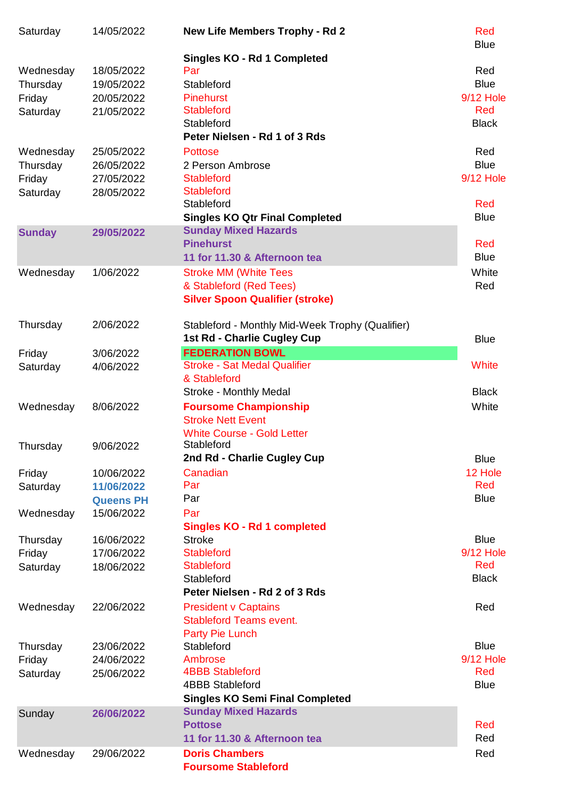| Saturday      | 14/05/2022       | <b>New Life Members Trophy - Rd 2</b>                            | Red<br><b>Blue</b> |
|---------------|------------------|------------------------------------------------------------------|--------------------|
|               |                  | <b>Singles KO - Rd 1 Completed</b>                               |                    |
| Wednesday     | 18/05/2022       | Par                                                              | Red                |
| Thursday      | 19/05/2022       | Stableford                                                       | <b>Blue</b>        |
| Friday        | 20/05/2022       | <b>Pinehurst</b>                                                 | <b>9/12 Hole</b>   |
| Saturday      | 21/05/2022       | <b>Stableford</b>                                                | Red                |
|               |                  | Stableford                                                       | <b>Black</b>       |
|               |                  | Peter Nielsen - Rd 1 of 3 Rds                                    |                    |
| Wednesday     | 25/05/2022       | <b>Pottose</b>                                                   | Red                |
| Thursday      | 26/05/2022       | 2 Person Ambrose                                                 | <b>Blue</b>        |
| Friday        | 27/05/2022       | <b>Stableford</b>                                                | <b>9/12 Hole</b>   |
| Saturday      | 28/05/2022       | <b>Stableford</b>                                                |                    |
|               |                  | Stableford                                                       | Red                |
|               |                  | <b>Singles KO Qtr Final Completed</b>                            | <b>Blue</b>        |
| <b>Sunday</b> | 29/05/2022       | <b>Sunday Mixed Hazards</b>                                      |                    |
|               |                  | <b>Pinehurst</b>                                                 | Red                |
|               |                  | 11 for 11.30 & Afternoon tea                                     | <b>Blue</b>        |
| Wednesday     | 1/06/2022        | <b>Stroke MM (White Tees</b>                                     | White              |
|               |                  | & Stableford (Red Tees)                                          | Red                |
|               |                  | <b>Silver Spoon Qualifier (stroke)</b>                           |                    |
|               |                  |                                                                  |                    |
| Thursday      | 2/06/2022        | Stableford - Monthly Mid-Week Trophy (Qualifier)                 |                    |
|               |                  | 1st Rd - Charlie Cugley Cup                                      | <b>Blue</b>        |
| Friday        | 3/06/2022        | <b>FEDERATION BOWL</b>                                           |                    |
| Saturday      | 4/06/2022        | <b>Stroke - Sat Medal Qualifier</b>                              | White              |
|               |                  | & Stableford                                                     |                    |
|               |                  | Stroke - Monthly Medal                                           | <b>Black</b>       |
| Wednesday     | 8/06/2022        | <b>Foursome Championship</b>                                     | White              |
|               |                  | <b>Stroke Nett Event</b>                                         |                    |
|               |                  | <b>White Course - Gold Letter</b>                                |                    |
| Thursday      | 9/06/2022        | Stableford                                                       |                    |
|               |                  | 2nd Rd - Charlie Cugley Cup                                      | <b>Blue</b>        |
| Friday        | 10/06/2022       | Canadian                                                         | 12 Hole<br>Red     |
| Saturday      | 11/06/2022       | Par                                                              |                    |
|               | <b>Queens PH</b> | Par                                                              | <b>Blue</b>        |
| Wednesday     | 15/06/2022       | Par                                                              |                    |
|               |                  | <b>Singles KO - Rd 1 completed</b>                               |                    |
| Thursday      | 16/06/2022       | <b>Stroke</b>                                                    | <b>Blue</b>        |
| Friday        | 17/06/2022       | <b>Stableford</b>                                                | <b>9/12 Hole</b>   |
| Saturday      | 18/06/2022       | <b>Stableford</b>                                                | Red                |
|               |                  | Stableford                                                       | <b>Black</b>       |
|               |                  | Peter Nielsen - Rd 2 of 3 Rds                                    |                    |
| Wednesday     | 22/06/2022       | <b>President v Captains</b>                                      | Red                |
|               |                  | <b>Stableford Teams event.</b>                                   |                    |
|               |                  | Party Pie Lunch                                                  |                    |
| Thursday      | 23/06/2022       | Stableford                                                       | <b>Blue</b>        |
| Friday        | 24/06/2022       | Ambrose                                                          | 9/12 Hole          |
| Saturday      | 25/06/2022       | <b>4BBB Stableford</b>                                           | Red                |
|               |                  | <b>4BBB Stableford</b><br><b>Singles KO Semi Final Completed</b> | <b>Blue</b>        |
|               |                  | <b>Sunday Mixed Hazards</b>                                      |                    |
| Sunday        | 26/06/2022       | <b>Pottose</b>                                                   | Red                |
|               |                  | 11 for 11.30 & Afternoon tea                                     | Red                |
| Wednesday     | 29/06/2022       | <b>Doris Chambers</b>                                            | Red                |
|               |                  | <b>Foursome Stableford</b>                                       |                    |
|               |                  |                                                                  |                    |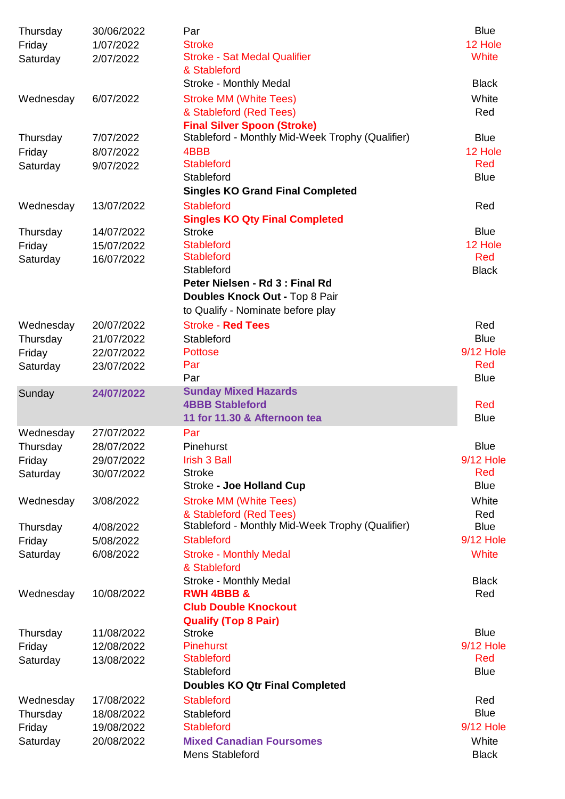| Thursday  | 30/06/2022 | Par                                              | <b>Blue</b>      |
|-----------|------------|--------------------------------------------------|------------------|
| Friday    | 1/07/2022  | <b>Stroke</b>                                    | 12 Hole          |
| Saturday  | 2/07/2022  | <b>Stroke - Sat Medal Qualifier</b>              | <b>White</b>     |
|           |            | & Stableford                                     |                  |
|           |            | Stroke - Monthly Medal                           | <b>Black</b>     |
| Wednesday | 6/07/2022  | <b>Stroke MM (White Tees)</b>                    | White            |
|           |            | & Stableford (Red Tees)                          | Red              |
|           |            | <b>Final Silver Spoon (Stroke)</b>               |                  |
| Thursday  | 7/07/2022  | Stableford - Monthly Mid-Week Trophy (Qualifier) | <b>Blue</b>      |
| Friday    | 8/07/2022  | 4BBB                                             | 12 Hole          |
| Saturday  | 9/07/2022  | <b>Stableford</b>                                | Red              |
|           |            | Stableford                                       | <b>Blue</b>      |
|           |            | <b>Singles KO Grand Final Completed</b>          |                  |
| Wednesday | 13/07/2022 | <b>Stableford</b>                                | Red              |
|           |            | <b>Singles KO Qty Final Completed</b>            |                  |
| Thursday  | 14/07/2022 | <b>Stroke</b>                                    | <b>Blue</b>      |
| Friday    | 15/07/2022 | <b>Stableford</b>                                | 12 Hole          |
| Saturday  | 16/07/2022 | <b>Stableford</b>                                | Red              |
|           |            | Stableford                                       | <b>Black</b>     |
|           |            | Peter Nielsen - Rd 3 : Final Rd                  |                  |
|           |            | Doubles Knock Out - Top 8 Pair                   |                  |
|           |            | to Qualify - Nominate before play                |                  |
| Wednesday | 20/07/2022 | <b>Stroke - Red Tees</b>                         | Red              |
| Thursday  | 21/07/2022 | Stableford                                       | <b>Blue</b>      |
|           | 22/07/2022 | <b>Pottose</b>                                   | <b>9/12 Hole</b> |
| Friday    |            | Par                                              | Red              |
| Saturday  | 23/07/2022 | Par                                              | <b>Blue</b>      |
|           |            | <b>Sunday Mixed Hazards</b>                      |                  |
| Sunday    | 24/07/2022 | <b>4BBB Stableford</b>                           | Red              |
|           |            | 11 for 11.30 & Afternoon tea                     | <b>Blue</b>      |
|           |            |                                                  |                  |
| Wednesday | 27/07/2022 | Par                                              |                  |
| Thursday  | 28/07/2022 | Pinehurst                                        | <b>Blue</b>      |
| Friday    | 29/07/2022 | Irish 3 Ball                                     | <b>9/12 Hole</b> |
| Saturday  | 30/07/2022 | <b>Stroke</b>                                    | Red              |
|           |            | <b>Stroke - Joe Holland Cup</b>                  | <b>Blue</b>      |
| Wednesday | 3/08/2022  | <b>Stroke MM (White Tees)</b>                    | White            |
|           |            | & Stableford (Red Tees)                          | Red              |
| Thursday  | 4/08/2022  | Stableford - Monthly Mid-Week Trophy (Qualifier) | <b>Blue</b>      |
| Friday    | 5/08/2022  | <b>Stableford</b>                                | <b>9/12 Hole</b> |
| Saturday  | 6/08/2022  | <b>Stroke - Monthly Medal</b><br>& Stableford    | White            |
|           |            | <b>Stroke - Monthly Medal</b>                    | <b>Black</b>     |
| Wednesday | 10/08/2022 | <b>RWH 4BBB &amp;</b>                            | Red              |
|           |            | <b>Club Double Knockout</b>                      |                  |
|           |            | <b>Qualify (Top 8 Pair)</b>                      |                  |
| Thursday  | 11/08/2022 | <b>Stroke</b>                                    | <b>Blue</b>      |
| Friday    | 12/08/2022 | <b>Pinehurst</b>                                 | <b>9/12 Hole</b> |
| Saturday  | 13/08/2022 | <b>Stableford</b>                                | Red              |
|           |            | Stableford                                       | <b>Blue</b>      |
|           |            | <b>Doubles KO Qtr Final Completed</b>            |                  |
| Wednesday | 17/08/2022 | <b>Stableford</b>                                | Red              |
| Thursday  | 18/08/2022 | Stableford                                       | <b>Blue</b>      |
| Friday    | 19/08/2022 | <b>Stableford</b>                                | <b>9/12 Hole</b> |
| Saturday  | 20/08/2022 | <b>Mixed Canadian Foursomes</b>                  | White            |
|           |            | Mens Stableford                                  | <b>Black</b>     |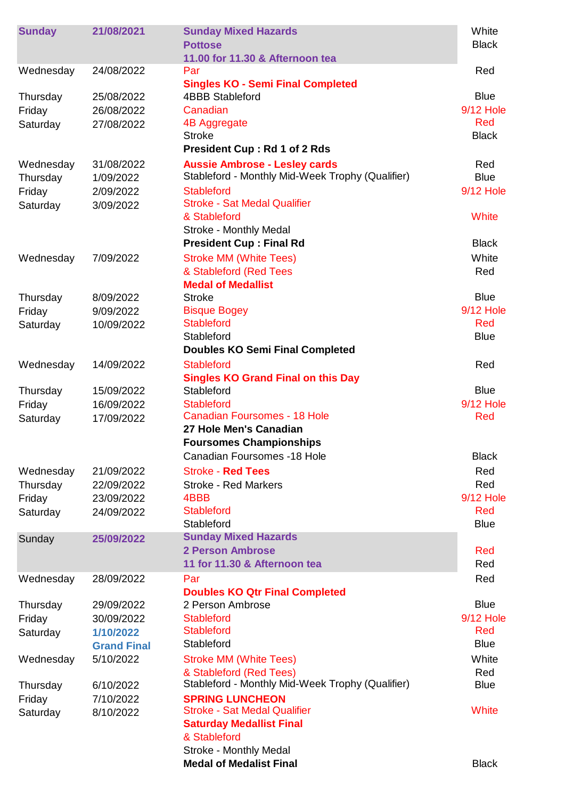| <b>Sunday</b> | 21/08/2021         | <b>Sunday Mixed Hazards</b><br><b>Pottose</b><br>11.00 for 11.30 & Afternoon tea | White<br><b>Black</b> |
|---------------|--------------------|----------------------------------------------------------------------------------|-----------------------|
| Wednesday     | 24/08/2022         | Par                                                                              | Red                   |
|               |                    | <b>Singles KO - Semi Final Completed</b>                                         | <b>Blue</b>           |
| Thursday      | 25/08/2022         | <b>4BBB Stableford</b>                                                           | <b>9/12 Hole</b>      |
| Friday        | 26/08/2022         | Canadian                                                                         | Red                   |
| Saturday      | 27/08/2022         | 4B Aggregate<br><b>Stroke</b>                                                    | <b>Black</b>          |
|               |                    | <b>President Cup: Rd 1 of 2 Rds</b>                                              |                       |
| Wednesday     | 31/08/2022         | <b>Aussie Ambrose - Lesley cards</b>                                             | Red                   |
| Thursday      | 1/09/2022          | Stableford - Monthly Mid-Week Trophy (Qualifier)                                 | <b>Blue</b>           |
| Friday        | 2/09/2022          | <b>Stableford</b>                                                                | <b>9/12 Hole</b>      |
| Saturday      | 3/09/2022          | <b>Stroke - Sat Medal Qualifier</b>                                              |                       |
|               |                    | & Stableford                                                                     | White                 |
|               |                    | Stroke - Monthly Medal                                                           |                       |
|               |                    | <b>President Cup: Final Rd</b>                                                   | <b>Black</b>          |
| Wednesday     | 7/09/2022          | <b>Stroke MM (White Tees)</b>                                                    | White                 |
|               |                    | & Stableford (Red Tees                                                           | Red                   |
|               |                    | <b>Medal of Medallist</b>                                                        |                       |
| Thursday      | 8/09/2022          | <b>Stroke</b>                                                                    | <b>Blue</b>           |
| Friday        | 9/09/2022          | <b>Bisque Bogey</b>                                                              | <b>9/12 Hole</b>      |
| Saturday      | 10/09/2022         | <b>Stableford</b>                                                                | Red                   |
|               |                    | Stableford                                                                       | <b>Blue</b>           |
|               |                    | <b>Doubles KO Semi Final Completed</b>                                           |                       |
| Wednesday     | 14/09/2022         | <b>Stableford</b>                                                                | Red                   |
|               |                    | <b>Singles KO Grand Final on this Day</b>                                        | <b>Blue</b>           |
| Thursday      | 15/09/2022         | Stableford<br><b>Stableford</b>                                                  | <b>9/12 Hole</b>      |
| Friday        | 16/09/2022         | <b>Canadian Foursomes - 18 Hole</b>                                              | Red                   |
| Saturday      | 17/09/2022         | 27 Hole Men's Canadian                                                           |                       |
|               |                    | <b>Foursomes Championships</b>                                                   |                       |
|               |                    | <b>Canadian Foursomes -18 Hole</b>                                               | <b>Black</b>          |
| Wednesday     | 21/09/2022         | <b>Stroke - Red Tees</b>                                                         | Red                   |
| Thursday      | 22/09/2022         | <b>Stroke - Red Markers</b>                                                      | Red                   |
| Friday        | 23/09/2022         | 4BBB                                                                             | <b>9/12 Hole</b>      |
| Saturday      | 24/09/2022         | <b>Stableford</b>                                                                | Red                   |
|               |                    | Stableford                                                                       | <b>Blue</b>           |
| Sunday        | 25/09/2022         | <b>Sunday Mixed Hazards</b>                                                      |                       |
|               |                    | <b>2 Person Ambrose</b>                                                          | Red                   |
|               |                    | 11 for 11.30 & Afternoon tea                                                     | Red                   |
| Wednesday     | 28/09/2022         | Par                                                                              | Red                   |
|               |                    | <b>Doubles KO Qtr Final Completed</b>                                            |                       |
| Thursday      | 29/09/2022         | 2 Person Ambrose                                                                 | <b>Blue</b>           |
| Friday        | 30/09/2022         | <b>Stableford</b>                                                                | <b>9/12 Hole</b>      |
| Saturday      | 1/10/2022          | <b>Stableford</b>                                                                | Red                   |
|               | <b>Grand Final</b> | Stableford                                                                       | <b>Blue</b>           |
| Wednesday     | 5/10/2022          | <b>Stroke MM (White Tees)</b>                                                    | White                 |
|               |                    | & Stableford (Red Tees)                                                          | Red                   |
| Thursday      | 6/10/2022          | Stableford - Monthly Mid-Week Trophy (Qualifier)                                 | <b>Blue</b>           |
| Friday        | 7/10/2022          | <b>SPRING LUNCHEON</b><br><b>Stroke - Sat Medal Qualifier</b>                    | White                 |
| Saturday      | 8/10/2022          | <b>Saturday Medallist Final</b>                                                  |                       |
|               |                    | & Stableford                                                                     |                       |
|               |                    | Stroke - Monthly Medal                                                           |                       |
|               |                    | <b>Medal of Medalist Final</b>                                                   | <b>Black</b>          |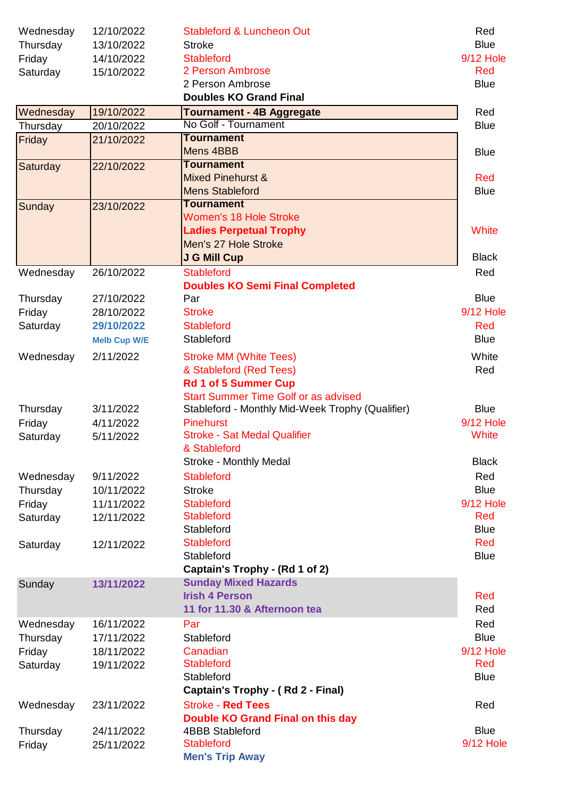| Wednesday          | 12/10/2022               | <b>Stableford &amp; Luncheon Out</b>                                 | Red                |
|--------------------|--------------------------|----------------------------------------------------------------------|--------------------|
| Thursday           | 13/10/2022               | <b>Stroke</b>                                                        | <b>Blue</b>        |
| Friday             | 14/10/2022               | <b>Stableford</b>                                                    | <b>9/12 Hole</b>   |
| Saturday           | 15/10/2022               | 2 Person Ambrose                                                     | Red                |
|                    |                          | 2 Person Ambrose                                                     | <b>Blue</b>        |
|                    |                          | <b>Doubles KO Grand Final</b>                                        |                    |
| Wednesday          | 19/10/2022               | <b>Tournament - 4B Aggregate</b>                                     | Red                |
| Thursday           | 20/10/2022               | No Golf - Tournament                                                 | <b>Blue</b>        |
| Friday             | 21/10/2022               | <b>Tournament</b><br>Mens 4BBB                                       | <b>Blue</b>        |
| Saturday           | 22/10/2022               | <b>Tournament</b>                                                    |                    |
|                    |                          | <b>Mixed Pinehurst &amp;</b>                                         | Red                |
|                    |                          | <b>Mens Stableford</b>                                               | <b>Blue</b>        |
| Sunday             | 23/10/2022               | <b>Tournament</b>                                                    |                    |
|                    |                          | <b>Women's 18 Hole Stroke</b>                                        |                    |
|                    |                          | <b>Ladies Perpetual Trophy</b>                                       | White              |
|                    |                          | Men's 27 Hole Stroke                                                 |                    |
|                    |                          | <b>J G Mill Cup</b>                                                  | <b>Black</b>       |
| Wednesday          | 26/10/2022               | <b>Stableford</b>                                                    | Red                |
|                    |                          | <b>Doubles KO Semi Final Completed</b>                               |                    |
| Thursday           | 27/10/2022               | Par                                                                  | <b>Blue</b>        |
| Friday             | 28/10/2022               | <b>Stroke</b>                                                        | <b>9/12 Hole</b>   |
| Saturday           | 29/10/2022               | <b>Stableford</b>                                                    | Red                |
|                    | <b>Melb Cup W/E</b>      | Stableford                                                           | <b>Blue</b>        |
| Wednesday          | 2/11/2022                | <b>Stroke MM (White Tees)</b>                                        | White              |
|                    |                          | & Stableford (Red Tees)                                              | Red                |
|                    |                          | <b>Rd 1 of 5 Summer Cup</b>                                          |                    |
|                    | 3/11/2022                | <b>Start Summer Time Golf or as advised</b>                          | <b>Blue</b>        |
| Thursday<br>Friday | 4/11/2022                | Stableford - Monthly Mid-Week Trophy (Qualifier)<br><b>Pinehurst</b> | <b>9/12 Hole</b>   |
| Saturday           | 5/11/2022                | <b>Stroke - Sat Medal Qualifier</b>                                  | White              |
|                    |                          | & Stableford                                                         |                    |
|                    |                          | <b>Stroke - Monthly Medal</b>                                        | <b>Black</b>       |
| Wednesday          | 9/11/2022                | <b>Stableford</b>                                                    | Red                |
| Thursday           | 10/11/2022               | <b>Stroke</b>                                                        | <b>Blue</b>        |
| Friday             | 11/11/2022               | <b>Stableford</b>                                                    | <b>9/12 Hole</b>   |
| Saturday           | 12/11/2022               | <b>Stableford</b>                                                    | <b>Red</b>         |
|                    |                          | Stableford                                                           | <b>Blue</b>        |
| Saturday           | 12/11/2022               | <b>Stableford</b>                                                    | Red                |
|                    |                          | Stableford                                                           | <b>Blue</b>        |
|                    |                          | Captain's Trophy - (Rd 1 of 2)                                       |                    |
| Sunday             | 13/11/2022               | <b>Sunday Mixed Hazards</b>                                          |                    |
|                    |                          | <b>Irish 4 Person</b>                                                | <b>Red</b>         |
|                    |                          | 11 for 11.30 & Afternoon tea                                         | Red                |
| Wednesday          | 16/11/2022<br>17/11/2022 | Par<br>Stableford                                                    | Red<br><b>Blue</b> |
| Thursday<br>Friday | 18/11/2022               | Canadian                                                             | <b>9/12 Hole</b>   |
| Saturday           | 19/11/2022               | <b>Stableford</b>                                                    | <b>Red</b>         |
|                    |                          | Stableford                                                           | <b>Blue</b>        |
|                    |                          | <b>Captain's Trophy - (Rd 2 - Final)</b>                             |                    |
| Wednesday          | 23/11/2022               | <b>Stroke - Red Tees</b>                                             | Red                |
|                    |                          | Double KO Grand Final on this day                                    |                    |
| Thursday           | 24/11/2022               | <b>4BBB Stableford</b>                                               | <b>Blue</b>        |
| Friday             | 25/11/2022               | <b>Stableford</b>                                                    | <b>9/12 Hole</b>   |
|                    |                          | <b>Men's Trip Away</b>                                               |                    |